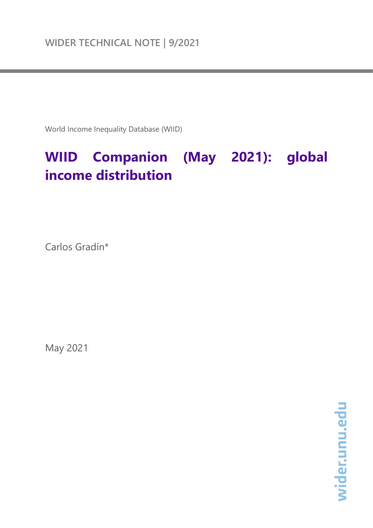World Income Inequality Database (WIID)

# **WIID Companion (May 2021): global income distribution**

Carlos Gradín\*

May 2021

wider.unu.edu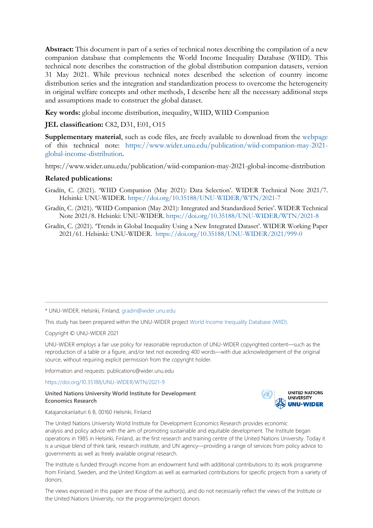**Abstract:** This document is part of a series of technical notes describing the compilation of a new companion database that complements the World Income Inequality Database (WIID). This technical note describes the construction of the global distribution companion datasets, version 31 May 2021. While previous technical notes described the selection of country income distribution series and the integration and standardization process to overcome the heterogeneity in original welfare concepts and other methods, I describe here all the necessary additional steps and assumptions made to construct the global dataset.

**Key words:** global income distribution, inequality, WIID, WIID Companion

# **JEL classification:** C82, D31, E01, O15

**Supplementary material**, such as code files, are freely available to download from the [webpage](https://doi.org/10.35188/UNU-WIDER/WTN/2021-9) of this technical note: [https://www.wider.unu.edu/publication/wiid-companion-may-2021](https://www.wider.unu.edu/publication/wiid-companion-may-2021-global-income-distribution) [global-income-distribution.](https://www.wider.unu.edu/publication/wiid-companion-may-2021-global-income-distribution)

https://www.wider.unu.edu/publication/wiid-companion-may-2021-global-income-distribution

# **Related publications:**

- Gradín, C. (2021). 'WIID Companion (May 2021): Data Selection'. WIDER Technical Note 2021/7. Helsinki: UNU-WIDER. <https://doi.org/10.35188/UNU-WIDER/WTN/2021-7>
- Gradín, C. (2021). 'WIID Companion (May 2021): Integrated and Standardized Series'. WIDER Technical Note 2021/8. Helsinki: UNU-WIDER. <https://doi.org/10.35188/UNU-WIDER/WTN/2021-8>
- Gradín, C. (2021). 'Trends in Global Inequality Using a New Integrated Dataset'. WIDER Working Paper 2021/61. Helsinki: UNU-WIDER. <https://doi.org/10.35188/UNU-WIDER/2021/999-0>

\* UNU-WIDER, Helsinki, Finland; [gradin@wider.unu.edu](mailto:gradin@wider.unu.edu)

This study has been prepared within the UNU-WIDER project [World Income Inequality Database \(WIID\).](https://www.wider.unu.edu/node/238021)

Copyright © UNU-WIDER 2021

UNU-WIDER employs a fair use policy for reasonable reproduction of UNU-WIDER copyrighted content—such as the reproduction of a table or a figure, and/or text not exceeding 400 words—with due acknowledgement of the original source, without requiring explicit permission from the copyright holder.

Information and requests: publications@wider.unu.edu

[https://doi.org/10.35188/UNU-WIDER/WTN/2021-9](https://doi.org/10.35188/UNU-WIDER/WTN/202#1-9)

#### **United Nations University World Institute for Development Economics Research**



Katajanokanlaituri 6 B, 00160 Helsinki, Finland

The United Nations University World Institute for Development Economics Research provides economic analysis and policy advice with the aim of promoting sustainable and equitable development. The Institute began operations in 1985 in Helsinki, Finland, as the first research and training centre of the United Nations University. Today it is a unique blend of think tank, research institute, and UN agency—providing a range of services from policy advice to governments as well as freely available original research.

The Institute is funded through income from an endowment fund with additional contributions to its work programme from Finland, Sweden, and the United Kingdom as well as earmarked contributions for specific projects from a variety of donors.

The views expressed in this paper are those of the author(s), and do not necessarily reflect the views of the Institute or the United Nations University, nor the programme/project donors.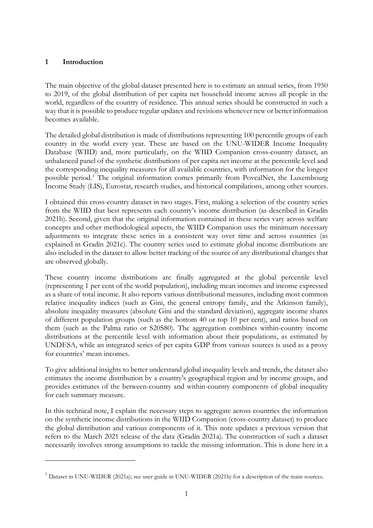# **1 Introduction**

The main objective of the global dataset presented here is to estimate an annual series, from 1950 to 2019, of the global distribution of per capita net household income across all people in the world, regardless of the country of residence. This annual series should be constructed in such a way that it is possible to produce regular updates and revisions whenever new or better information becomes available.

The detailed global distribution is made of distributions representing 100 percentile groups of each country in the world every year. These are based on the UNU-WIDER Income Inequality Database (WIID) and, more particularly, on the WIID Companion cross-country dataset, an unbalanced panel of the synthetic distributions of per capita net income at the percentile level and the corresponding inequality measures for all available countries, with information for the longest possible period.[1](#page-2-0) The original information comes primarily from PovcalNet, the Luxembourg Income Study (LIS), Eurostat, research studies, and historical compilations, among other sources.

I obtained this cross-country dataset in two stages. First, making a selection of the country series from the WIID that best represents each country's income distribution (as described in Gradín 2021b). Second, given that the original information contained in these series vary across welfare concepts and other methodological aspects, the WIID Companion uses the minimum necessary adjustments to integrate these series in a consistent way over time and across countries (as explained in Gradín 2021c). The country series used to estimate global income distributions are also included in the dataset to allow better tracking of the source of any distributional changes that are observed globally.

These country income distributions are finally aggregated at the global percentile level (representing 1 per cent of the world population), including mean incomes and income expressed as a share of total income. It also reports various distributional measures, including most common relative inequality indices (such as Gini, the general entropy family, and the Atkinson family), absolute inequality measures (absolute Gini and the standard deviation), aggregate income shares of different population groups (such as the bottom 40 or top 10 per cent), and ratios based on them (such as the Palma ratio or S20S80). The aggregation combines within-country income distributions at the percentile level with information about their populations, as estimated by UNDESA, while an integrated series of per capita GDP from various sources is used as a proxy for countries' mean incomes.

To give additional insights to better understand global inequality levels and trends, the dataset also estimates the income distribution by a country's geographical region and by income groups, and provides estimates of the between-country and within-country components of global inequality for each summary measure.

In this technical note, I explain the necessary steps to aggregate across countries the information on the synthetic income distributions in the WIID Companion (cross-country dataset) to produce the global distribution and various components of it. This note updates a previous version that refers to the March 2021 release of the data (Gradín 2021a). The construction of such a dataset necessarily involves strong assumptions to tackle the missing information. This is done here in a

<span id="page-2-0"></span><sup>&</sup>lt;sup>1</sup> Dataset in UNU-WIDER (2021a); see user guide in UNU-WIDER (2021b) for a description of the main sources.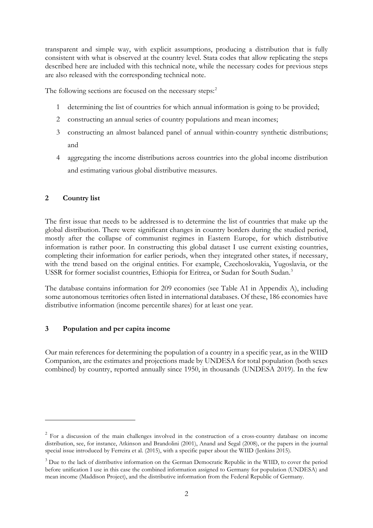transparent and simple way, with explicit assumptions, producing a distribution that is fully consistent with what is observed at the country level. Stata codes that allow replicating the steps described here are included with this technical note, while the necessary codes for previous steps are also released with the corresponding technical note.

The following sections are focused on the necessary steps:<sup>[2](#page-3-0)</sup>

- 1 determining the list of countries for which annual information is going to be provided;
- 2 constructing an annual series of country populations and mean incomes;
- 3 constructing an almost balanced panel of annual within-country synthetic distributions; and
- 4 aggregating the income distributions across countries into the global income distribution and estimating various global distributive measures.

# **2 Country list**

The first issue that needs to be addressed is to determine the list of countries that make up the global distribution. There were significant changes in country borders during the studied period, mostly after the collapse of communist regimes in Eastern Europe, for which distributive information is rather poor. In constructing this global dataset I use current existing countries, completing their information for earlier periods, when they integrated other states, if necessary, with the trend based on the original entities. For example, Czechoslovakia, Yugoslavia, or the USSR for former socialist countries, Ethiopia for Eritrea, or Sudan for South Sudan.<sup>[3](#page-3-1)</sup>

The database contains information for 209 economies (see Table A1 in Appendix A), including some autonomous territories often listed in international databases. Of these, 186 economies have distributive information (income percentile shares) for at least one year.

# **3 Population and per capita income**

Our main references for determining the population of a country in a specific year, as in the WIID Companion, are the estimates and projections made by UNDESA for total population (both sexes combined) by country, reported annually since 1950, in thousands (UNDESA 2019). In the few

<span id="page-3-0"></span><sup>&</sup>lt;sup>2</sup> For a discussion of the main challenges involved in the construction of a cross-country database on income distribution, see, for instance, Atkinson and Brandolini (2001), Anand and Segal (2008), or the papers in the journal special issue introduced by Ferreira et al. (2015), with a specific paper about the WIID (Jenkins 2015).

<span id="page-3-1"></span><sup>&</sup>lt;sup>3</sup> Due to the lack of distributive information on the German Democratic Republic in the WIID, to cover the period before unification I use in this case the combined information assigned to Germany for population (UNDESA) and mean income (Maddison Project), and the distributive information from the Federal Republic of Germany.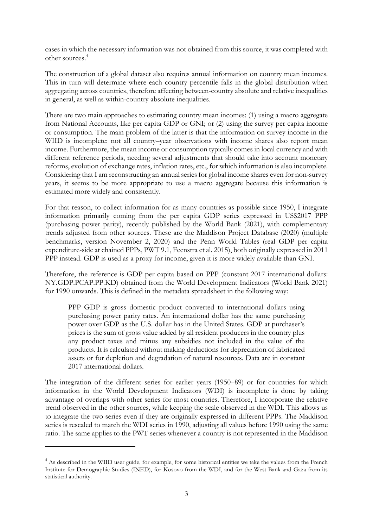cases in which the necessary information was not obtained from this source, it was completed with other sources.[4](#page-4-0)

The construction of a global dataset also requires annual information on country mean incomes. This in turn will determine where each country percentile falls in the global distribution when aggregating across countries, therefore affecting between-country absolute and relative inequalities in general, as well as within-country absolute inequalities.

There are two main approaches to estimating country mean incomes: (1) using a macro aggregate from National Accounts, like per capita GDP or GNI; or (2) using the survey per capita income or consumption. The main problem of the latter is that the information on survey income in the WIID is incomplete: not all country-year observations with income shares also report mean income. Furthermore, the mean income or consumption typically comes in local currency and with different reference periods, needing several adjustments that should take into account monetary reforms, evolution of exchange rates, inflation rates, etc., for which information is also incomplete. Considering that I am reconstructing an annual series for global income shares even for non-survey years, it seems to be more appropriate to use a macro aggregate because this information is estimated more widely and consistently.

For that reason, to collect information for as many countries as possible since 1950, I integrate information primarily coming from the per capita GDP series expressed in US\$2017 PPP (purchasing power parity), recently published by the World Bank (2021), with complementary trends adjusted from other sources. These are the Maddison Project Database (2020) (multiple benchmarks, version November 2, 2020) and the Penn World Tables (real GDP per capita expenditure-side at chained PPPs, PWT 9.1, Feenstra et al. 2015), both originally expressed in 2011 PPP instead. GDP is used as a proxy for income, given it is more widely available than GNI.

Therefore, the reference is GDP per capita based on PPP (constant 2017 international dollars: NY.GDP.PCAP.PP.KD) obtained from the World Development Indicators (World Bank 2021) for 1990 onwards. This is defined in the metadata spreadsheet in the following way:

PPP GDP is gross domestic product converted to international dollars using purchasing power parity rates. An international dollar has the same purchasing power over GDP as the U.S. dollar has in the United States. GDP at purchaser's prices is the sum of gross value added by all resident producers in the country plus any product taxes and minus any subsidies not included in the value of the products. It is calculated without making deductions for depreciation of fabricated assets or for depletion and degradation of natural resources. Data are in constant 2017 international dollars.

The integration of the different series for earlier years (1950–89) or for countries for which information in the World Development Indicators (WDI) is incomplete is done by taking advantage of overlaps with other series for most countries. Therefore, I incorporate the relative trend observed in the other sources, while keeping the scale observed in the WDI. This allows us to integrate the two series even if they are originally expressed in different PPPs. The Maddison series is rescaled to match the WDI series in 1990, adjusting all values before 1990 using the same ratio. The same applies to the PWT series whenever a country is not represented in the Maddison

<span id="page-4-0"></span><sup>&</sup>lt;sup>4</sup> As described in the WIID user guide, for example, for some historical entities we take the values from the French Institute for Demographic Studies (INED), for Kosovo from the WDI, and for the West Bank and Gaza from its statistical authority.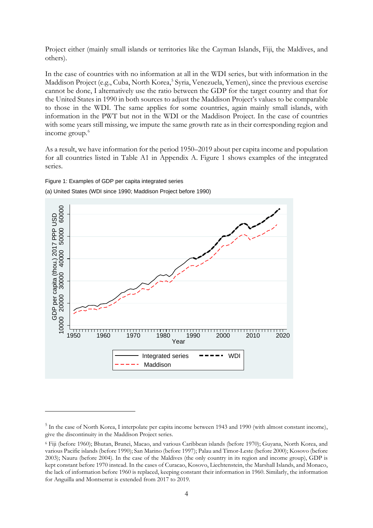Project either (mainly small islands or territories like the Cayman Islands, Fiji, the Maldives, and others).

In the case of countries with no information at all in the WDI series, but with information in the Maddison Project (e.g., Cuba, North Korea, [5](#page-5-0) Syria, Venezuela, Yemen), since the previous exercise cannot be done, I alternatively use the ratio between the GDP for the target country and that for the United States in 1990 in both sources to adjust the Maddison Project's values to be comparable to those in the WDI. The same applies for some countries, again mainly small islands, with information in the PWT but not in the WDI or the Maddison Project. In the case of countries with some years still missing, we impute the same growth rate as in their corresponding region and income group.<sup>[6](#page-5-1)</sup>

As a result, we have information for the period 1950–2019 about per capita income and population for all countries listed in Table A1 in Appendix A. Figure 1 shows examples of the integrated series.

Figure 1: Examples of GDP per capita integrated series

(a) United States (WDI since 1990; Maddison Project before 1990)



<span id="page-5-0"></span><sup>&</sup>lt;sup>5</sup> In the case of North Korea, I interpolate per capita income between 1943 and 1990 (with almost constant income), give the discontinuity in the Maddison Project series.

<span id="page-5-1"></span><sup>6</sup> Fiji (before 1960); Bhutan, Brunei, Macao, and various Caribbean islands (before 1970); Guyana, North Korea, and various Pacific islands (before 1990); San Marino (before 1997); Palau and Timor-Leste (before 2000); Kosovo (before 2003); Nauru (before 2004). In the case of the Maldives (the only country in its region and income group), GDP is kept constant before 1970 instead. In the cases of Curacao, Kosovo, Liechtenstein, the Marshall Islands, and Monaco, the lack of information before 1960 is replaced, keeping constant their information in 1960. Similarly, the information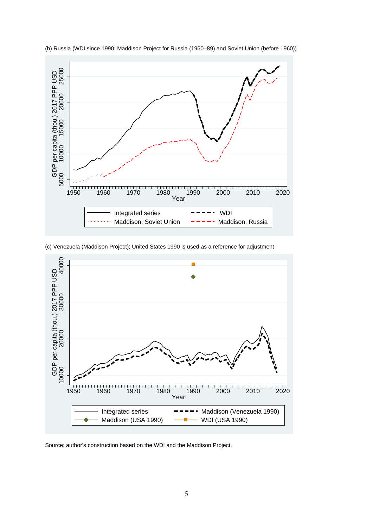

(b) Russia (WDI since 1990; Maddison Project for Russia (1960–89) and Soviet Union (before 1960))

(c) Venezuela (Maddison Project); United States 1990 is used as a reference for adjustment

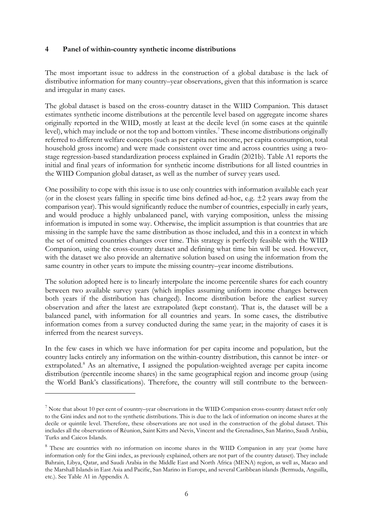#### **4 Panel of within-country synthetic income distributions**

The most important issue to address in the construction of a global database is the lack of distributive information for many country–year observations, given that this information is scarce and irregular in many cases.

The global dataset is based on the cross-country dataset in the WIID Companion. This dataset estimates synthetic income distributions at the percentile level based on aggregate income shares originally reported in the WIID, mostly at least at the decile level (in some cases at the quintile level), which may include or not the top and bottom vintiles.<sup>[7](#page-7-0)</sup> These income distributions originally referred to different welfare concepts (such as per capita net income, per capita consumption, total household gross income) and were made consistent over time and across countries using a twostage regression-based standardization process explained in Gradín (2021b). Table A1 reports the initial and final years of information for synthetic income distributions for all listed countries in the WIID Companion global dataset, as well as the number of survey years used.

One possibility to cope with this issue is to use only countries with information available each year (or in the closest years falling in specific time bins defined ad-hoc, e.g.  $\pm 2$  years away from the comparison year). This would significantly reduce the number of countries, especially in early years, and would produce a highly unbalanced panel, with varying composition, unless the missing information is imputed in some way. Otherwise, the implicit assumption is that countries that are missing in the sample have the same distribution as those included, and this in a context in which the set of omitted countries changes over time. This strategy is perfectly feasible with the WIID Companion, using the cross-country dataset and defining what time bin will be used. However, with the dataset we also provide an alternative solution based on using the information from the same country in other years to impute the missing country–year income distributions.

The solution adopted here is to linearly interpolate the income percentile shares for each country between two available survey years (which implies assuming uniform income changes between both years if the distribution has changed). Income distribution before the earliest survey observation and after the latest are extrapolated (kept constant). That is, the dataset will be a balanced panel, with information for all countries and years. In some cases, the distributive information comes from a survey conducted during the same year; in the majority of cases it is inferred from the nearest surveys.

In the few cases in which we have information for per capita income and population, but the country lacks entirely any information on the within-country distribution, this cannot be inter- or extrapolated. [8](#page-7-1) As an alternative, I assigned the population-weighted average per capita income distribution (percentile income shares) in the same geographical region and income group (using the World Bank's classifications). Therefore, the country will still contribute to the between-

<span id="page-7-0"></span> $<sup>7</sup>$  Note that about 10 per cent of country–year observations in the WIID Companion cross-country dataset refer only</sup> to the Gini index and not to the synthetic distributions. This is due to the lack of information on income shares at the decile or quintile level. Therefore, these observations are not used in the construction of the global dataset. This includes all the observations of Réunion, Saint Kitts and Nevis, Vincent and the Grenadines, San Marino, Saudi Arabia, Turks and Caicos Islands.

<span id="page-7-1"></span><sup>&</sup>lt;sup>8</sup> These are countries with no information on income shares in the WIID Companion in any year (some have information only for the Gini index, as previously explained, others are not part of the country dataset). They include Bahrain, Libya, Qatar, and Saudi Arabia in the Middle East and North Africa (MENA) region, as well as, Macao and the Marshall Islands in East Asia and Pacific, San Marino in Europe, and several Caribbean islands (Bermuda, Anguilla, etc.). See Table A1 in Appendix A.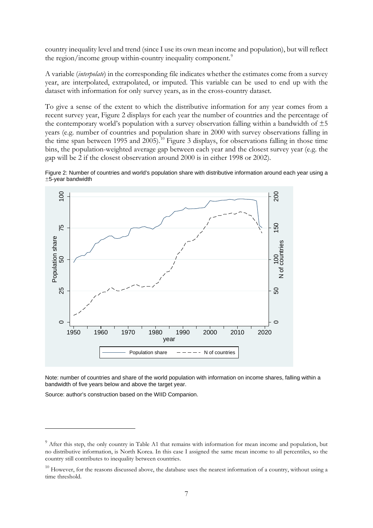country inequality level and trend (since I use its own mean income and population), but will reflect the region/income group within-country inequality component.<sup>[9](#page-8-0)</sup>

A variable (*interpolate*) in the corresponding file indicates whether the estimates come from a survey year, are interpolated, extrapolated, or imputed. This variable can be used to end up with the dataset with information for only survey years, as in the cross-country dataset.

To give a sense of the extent to which the distributive information for any year comes from a recent survey year, Figure 2 displays for each year the number of countries and the percentage of the contemporary world's population with a survey observation falling within a bandwidth of  $\pm 5$ years (e.g. number of countries and population share in 2000 with survey observations falling in the time span between 1995 and 2005).<sup>[10](#page-8-1)</sup> Figure 3 displays, for observations falling in those time bins, the population-weighted average gap between each year and the closest survey year (e.g. the gap will be 2 if the closest observation around 2000 is in either 1998 or 2002).





Note: number of countries and share of the world population with information on income shares, falling within a bandwidth of five years below and above the target year.

Source: author's construction based on the WIID Companion.

<span id="page-8-0"></span><sup>&</sup>lt;sup>9</sup> After this step, the only country in Table A1 that remains with information for mean income and population, but no distributive information, is North Korea. In this case I assigned the same mean income to all percentiles, so the country still contributes to inequality between countries.

<span id="page-8-1"></span> $10$  However, for the reasons discussed above, the database uses the nearest information of a country, without using a time threshold.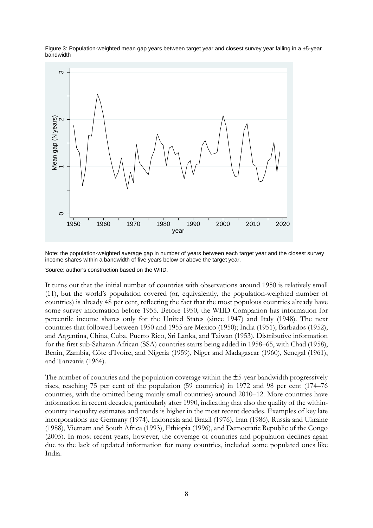

Figure 3: Population-weighted mean gap years between target year and closest survey year falling in a ±5-year bandwidth

Note: the population-weighted average gap in number of years between each target year and the closest survey income shares within a bandwidth of five years below or above the target year.

Source: author's construction based on the WIID.

It turns out that the initial number of countries with observations around 1950 is relatively small (11), but the world's population covered (or, equivalently, the population-weighted number of countries) is already 48 per cent, reflecting the fact that the most populous countries already have some survey information before 1955. Before 1950, the WIID Companion has information for percentile income shares only for the United States (since 1947) and Italy (1948). The next countries that followed between 1950 and 1955 are Mexico (1950); India (1951); Barbados (1952); and Argentina, China, Cuba, Puerto Rico, Sri Lanka, and Taiwan (1953). Distributive information for the first sub-Saharan African (SSA) countries starts being added in 1958–65, with Chad (1958), Benin, Zambia, Côte d'Ivoire, and Nigeria (1959), Niger and Madagascar (1960), Senegal (1961), and Tanzania (1964).

The number of countries and the population coverage within the  $\pm$ 5-year bandwidth progressively rises, reaching 75 per cent of the population (59 countries) in 1972 and 98 per cent (174–76 countries, with the omitted being mainly small countries) around 2010–12. More countries have information in recent decades, particularly after 1990, indicating that also the quality of the withincountry inequality estimates and trends is higher in the most recent decades. Examples of key late incorporations are Germany (1974), Indonesia and Brazil (1976), Iran (1986), Russia and Ukraine (1988), Vietnam and South Africa (1993), Ethiopia (1996), and Democratic Republic of the Congo (2005). In most recent years, however, the coverage of countries and population declines again due to the lack of updated information for many countries, included some populated ones like India.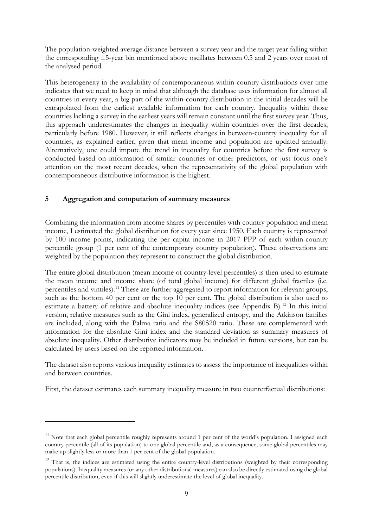The population-weighted average distance between a survey year and the target year falling within the corresponding ±5-year bin mentioned above oscillates between 0.5 and 2 years over most of the analysed period.

This heterogeneity in the availability of contemporaneous within-country distributions over time indicates that we need to keep in mind that although the database uses information for almost all countries in every year, a big part of the within-country distribution in the initial decades will be extrapolated from the earliest available information for each country. Inequality within those countries lacking a survey in the earliest years will remain constant until the first survey year. Thus, this approach underestimates the changes in inequality within countries over the first decades, particularly before 1980. However, it still reflects changes in between-country inequality for all countries, as explained earlier, given that mean income and population are updated annually. Alternatively, one could impute the trend in inequality for countries before the first survey is conducted based on information of similar countries or other predictors, or just focus one's attention on the most recent decades, when the representativity of the global population with contemporaneous distributive information is the highest.

# **5 Aggregation and computation of summary measures**

Combining the information from income shares by percentiles with country population and mean income, I estimated the global distribution for every year since 1950. Each country is represented by 100 income points, indicating the per capita income in 2017 PPP of each within-country percentile group (1 per cent of the contemporary country population). These observations are weighted by the population they represent to construct the global distribution.

The entire global distribution (mean income of country-level percentiles) is then used to estimate the mean income and income share (of total global income) for different global fractiles (i.e. percentiles and vintiles).<sup>[11](#page-10-0)</sup> These are further aggregated to report information for relevant groups, such as the bottom 40 per cent or the top 10 per cent. The global distribution is also used to estimate a battery of relative and absolute inequality indices (see Appendix B).<sup>[12](#page-10-1)</sup> In this initial version, relative measures such as the Gini index, generalized entropy, and the Atkinson families are included, along with the Palma ratio and the S80S20 ratio. These are complemented with information for the absolute Gini index and the standard deviation as summary measures of absolute inequality. Other distributive indicators may be included in future versions, but can be calculated by users based on the reported information.

The dataset also reports various inequality estimates to assess the importance of inequalities within and between countries.

First, the dataset estimates each summary inequality measure in two counterfactual distributions:

<span id="page-10-0"></span> $11$  Note that each global percentile roughly represents around 1 per cent of the world's population. I assigned each country percentile (all of its population) to one global percentile and, as a consequence, some global percentiles may make up slightly less or more than 1 per cent of the global population.

<span id="page-10-1"></span><sup>&</sup>lt;sup>12</sup> That is, the indices are estimated using the entire country-level distributions (weighted by their corresponding populations). Inequality measures (or any other distributional measures) can also be directly estimated using the global percentile distribution, even if this will slightly underestimate the level of global inequality.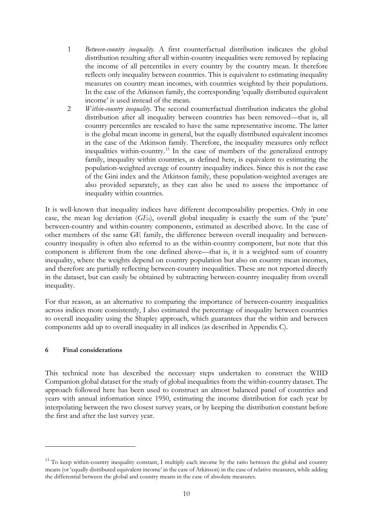- 1 *Between-country inequality.* A first counterfactual distribution indicates the global distribution resulting after all within-country inequalities were removed by replacing the income of all percentiles in every country by the country mean. It therefore reflects only inequality between countries. This is equivalent to estimating inequality measures on country mean incomes, with countries weighted by their populations. In the case of the Atkinson family, the corresponding 'equally distributed equivalent income' is used instead of the mean.
- 2 *Within-country inequality*. The second counterfactual distribution indicates the global distribution after all inequality between countries has been removed—that is, all country percentiles are rescaled to have the same representative income. The latter is the global mean income in general, but the equally distributed equivalent incomes in the case of the Atkinson family. Therefore, the inequality measures only reflect inequalities within-country.[13](#page-11-0) In the case of members of the generalized entropy family, inequality within countries, as defined here, is equivalent to estimating the population-weighted average of country inequality indices. Since this is not the case of the Gini index and the Atkinson family, these population-weighted averages are also provided separately, as they can also be used to assess the importance of inequality within countries.

It is well-known that inequality indices have different decomposability properties. Only in one case, the mean log deviation (*GE*0), overall global inequality is exactly the sum of the 'pure' between-country and within-country components, estimated as described above. In the case of other members of the same GE family, the difference between overall inequality and betweencountry inequality is often also referred to as the within-country component, but note that this component is different from the one defined above—that is, it is a weighted sum of country inequality, where the weights depend on country population but also on country mean incomes, and therefore are partially reflecting between-country inequalities. These are not reported directly in the dataset, but can easily be obtained by subtracting between-country inequality from overall inequality.

For that reason, as an alternative to comparing the importance of between-country inequalities across indices more consistently, I also estimated the percentage of inequality between countries to overall inequality using the Shapley approach, which guarantees that the within and between components add up to overall inequality in all indices (as described in Appendix C).

#### **6 Final considerations**

This technical note has described the necessary steps undertaken to construct the WIID Companion global dataset for the study of global inequalities from the within-country dataset. The approach followed here has been used to construct an almost balanced panel of countries and years with annual information since 1950, estimating the income distribution for each year by interpolating between the two closest survey years, or by keeping the distribution constant before the first and after the last survey year.

<span id="page-11-0"></span><sup>&</sup>lt;sup>13</sup> To keep within-country inequality constant, I multiply each income by the ratio between the global and country means (or 'equally distributed equivalent income' in the case of Atkinson) in the case of relative measures, while adding the differential between the global and country means in the case of absolute measures.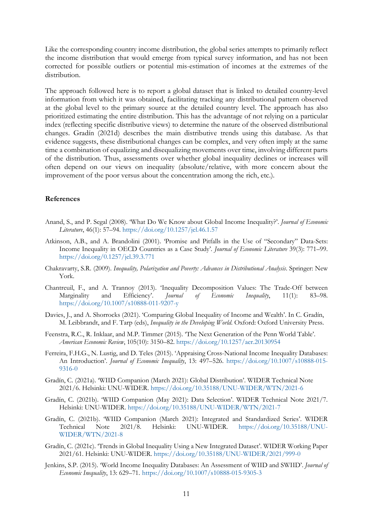Like the corresponding country income distribution, the global series attempts to primarily reflect the income distribution that would emerge from typical survey information, and has not been corrected for possible outliers or potential mis-estimation of incomes at the extremes of the distribution.

The approach followed here is to report a global dataset that is linked to detailed country-level information from which it was obtained, facilitating tracking any distributional pattern observed at the global level to the primary source at the detailed country level. The approach has also prioritized estimating the entire distribution. This has the advantage of not relying on a particular index (reflecting specific distributive views) to determine the nature of the observed distributional changes. Gradín (2021d) describes the main distributive trends using this database. As that evidence suggests, these distributional changes can be complex, and very often imply at the same time a combination of equalizing and disequalizing movements over time, involving different parts of the distribution. Thus, assessments over whether global inequality declines or increases will often depend on our views on inequality (absolute/relative, with more concern about the improvement of the poor versus about the concentration among the rich, etc.).

#### **References**

- Anand, S., and P. Segal (2008). 'What Do We Know about Global Income Inequality?'. *Journal of Economic Literature*, 46(1): 57–94. <https://doi.org/10.1257/jel.46.1.57>
- Atkinson, A.B., and A. Brandolini (2001). 'Promise and Pitfalls in the Use of "Secondary" Data-Sets: Income Inequality in OECD Countries as a Case Study'*. Journal of Economic Literature* 39(3): 771–99. <https://doi.org/0.1257/jel.39.3.771>
- Chakravarty, S.R. (2009). *Inequality, Polarization and Poverty: Advances in Distributional Analysis*. Springer: New York.
- Chantreuil, F., and A. Trannoy (2013). 'Inequality Decomposition Values: The Trade-Off between Marginality and Efficiency'. *Journal of Economic Inequality*, 11(1): 83–98. <https://doi.org/10.1007/s10888-011-9207-y>
- Davies, J., and A. Shorrocks (2021). 'Comparing Global Inequality of Income and Wealth'. In C. Gradín, M. Leibbrandt, and F. Tarp (eds), *Inequality in the Developing World*. Oxford: Oxford University Press.
- Feenstra, R.C., R. Inklaar, and M.P. Timmer (2015). 'The Next Generation of the Penn World Table'. *American Economic Review*, 105(10): 3150–82.<https://doi.org/10.1257/aer.20130954>
- Ferreira, F.H.G., N. Lustig, and D. Teles (2015). 'Appraising Cross-National Income Inequality Databases: An Introduction'. *Journal of Economic Inequality*, 13: 497–526. [https://doi.org/10.1007/s10888-015-](https://doi.org/10.1007/s10888-015-9316-0) [9316-0](https://doi.org/10.1007/s10888-015-9316-0)
- Gradín, C. (2021a). 'WIID Companion (March 2021): Global Distribution'. WIDER Technical Note 2021/6. Helsinki: UNU-WIDER.<https://doi.org/10.35188/UNU-WIDER/WTN/2021-6>
- Gradín, C. (2021b). 'WIID Companion (May 2021): Data Selection'. WIDER Technical Note 2021/7. Helsinki: UNU-WIDER. <https://doi.org/10.35188/UNU-WIDER/WTN/2021-7>
- Gradín, C. (2021b). 'WIID Companion (March 2021): Integrated and Standardized Series'. WIDER Technical Note 2021/8. Helsinki: UNU-WIDER. [https://doi.org/10.35188/UNU-](https://doi.org/10.35188/UNU-WIDER/WTN/2021-8)[WIDER/WTN/2021-8](https://doi.org/10.35188/UNU-WIDER/WTN/2021-8)
- Gradín, C. (2021c). 'Trends in Global Inequality Using a New Integrated Dataset'. WIDER Working Paper 2021/61. Helsinki: UNU-WIDER. <https://doi.org/10.35188/UNU-WIDER/2021/999-0>
- Jenkins, S.P. (2015). 'World Income Inequality Databases: An Assessment of WIID and SWIID'. *Journal of Economic Inequality*, 13: 629–71. <https://doi.org/10.1007/s10888-015-9305-3>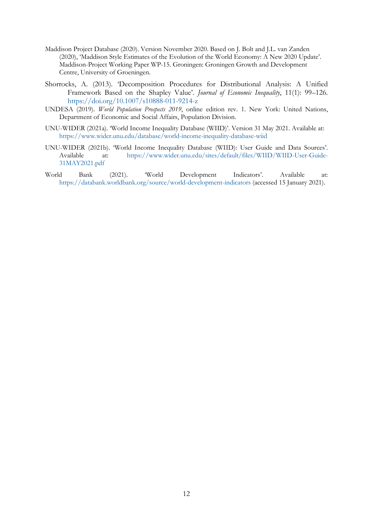- Maddison Project Database (2020). Version November 2020. Based on J. Bolt and J.L. van Zanden (2020), ['Maddison Style Estimates of the Evolution of the World Economy:](https://www.rug.nl/ggdc/historicaldevelopment/maddison/publications/wp15.pdf) A New 2020 Update'. Maddison-Project Working Paper WP-15. Groningen: Groningen Growth and Development Centre, University of Groeningen.
- Shorrocks, A. (2013). 'Decomposition Procedures for Distributional Analysis: A Unified Framework Based on the Shapley Value'. *Journal of Economic Inequality*, 11(1): 99–126. <https://doi.org/10.1007/s10888-011-9214-z>
- UNDESA (2019). *World Population Prospects 2019*, online edition rev. 1. New York: United Nations, Department of Economic and Social Affairs, Population Division.
- UNU-WIDER (2021a). 'World Income Inequality Database (WIID)'. Version 31 May 2021. Available at: <https://www.wider.unu.edu/database/world-income-inequality-database-wiid>
- UNU-WIDER (2021b). 'World Income Inequality Database (WIID): User Guide and Data Sources'. at: [https://www.wider.unu.edu/sites/default/files/WIID/WIID-User-Guide-](https://www.wider.unu.edu/sites/default/files/WIID/WIID-User-Guide-31MAY2021.pdf)[31MAY2021.pdf](https://www.wider.unu.edu/sites/default/files/WIID/WIID-User-Guide-31MAY2021.pdf)
- World Bank (2021). 'World Development Indicators'. Available at: <https://databank.worldbank.org/source/world-development-indicators> (accessed 15 January 2021).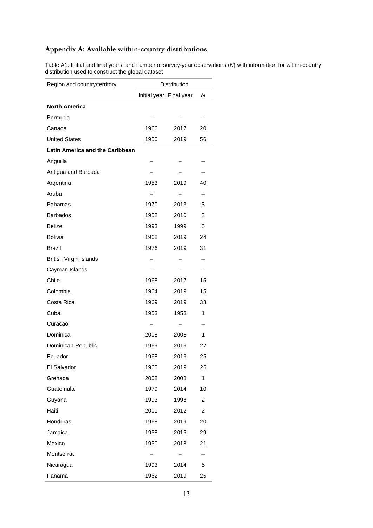# **Appendix A: Available within-country distributions**

Table A1: Initial and final years, and number of survey-year observations (*N*) with information for within-country distribution used to construct the global dataset

| Region and country/territory           | <b>Distribution</b> |                         |                |
|----------------------------------------|---------------------|-------------------------|----------------|
|                                        |                     | Initial year Final year | Ν              |
| <b>North America</b>                   |                     |                         |                |
| Bermuda                                |                     |                         |                |
| Canada                                 | 1966                | 2017                    | 20             |
| <b>United States</b>                   | 1950                | 2019                    | 56             |
| <b>Latin America and the Caribbean</b> |                     |                         |                |
| Anguilla                               |                     |                         |                |
| Antigua and Barbuda                    |                     |                         |                |
| Argentina                              | 1953                | 2019                    | 40             |
| Aruba                                  |                     |                         |                |
| <b>Bahamas</b>                         | 1970                | 2013                    | 3              |
| <b>Barbados</b>                        | 1952                | 2010                    | 3              |
| <b>Belize</b>                          | 1993                | 1999                    | 6              |
| <b>Bolivia</b>                         | 1968                | 2019                    | 24             |
| <b>Brazil</b>                          | 1976                | 2019                    | 31             |
| <b>British Virgin Islands</b>          |                     |                         |                |
| Cayman Islands                         |                     |                         |                |
| Chile                                  | 1968                | 2017                    | 15             |
| Colombia                               | 1964                | 2019                    | 15             |
| Costa Rica                             | 1969                | 2019                    | 33             |
| Cuba                                   | 1953                | 1953                    | 1              |
| Curacao                                |                     |                         |                |
| Dominica                               | 2008                | 2008                    | 1              |
| Dominican Republic                     | 1969                | 2019                    | 27             |
| Ecuador                                | 1968                | 2019                    | 25             |
| El Salvador                            | 1965                | 2019                    | 26             |
| Grenada                                | 2008                | 2008                    | 1              |
| Guatemala                              | 1979                | 2014                    | 10             |
| Guyana                                 | 1993                | 1998                    | $\overline{c}$ |
| Haiti                                  | 2001                | 2012                    | $\overline{c}$ |
| Honduras                               | 1968                | 2019                    | 20             |
| Jamaica                                | 1958                | 2015                    | 29             |
| Mexico                                 | 1950                | 2018                    | 21             |
| Montserrat                             |                     |                         |                |
| Nicaragua                              | 1993                | 2014                    | 6              |
| Panama                                 | 1962                | 2019                    | 25             |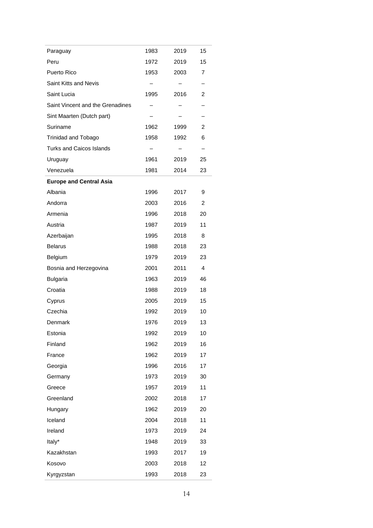| Paraguay                         | 1983 | 2019 | 15 |
|----------------------------------|------|------|----|
| Peru                             | 1972 | 2019 | 15 |
| Puerto Rico                      | 1953 | 2003 | 7  |
| Saint Kitts and Nevis            |      |      |    |
| Saint Lucia                      | 1995 | 2016 | 2  |
| Saint Vincent and the Grenadines |      |      |    |
| Sint Maarten (Dutch part)        |      |      | —  |
| Suriname                         | 1962 | 1999 | 2  |
| Trinidad and Tobago              | 1958 | 1992 | 6  |
| <b>Turks and Caicos Islands</b>  |      |      |    |
| Uruguay                          | 1961 | 2019 | 25 |
| Venezuela                        | 1981 | 2014 | 23 |
| <b>Europe and Central Asia</b>   |      |      |    |
| Albania                          | 1996 | 2017 | 9  |
| Andorra                          | 2003 | 2016 | 2  |
| Armenia                          | 1996 | 2018 | 20 |
| Austria                          | 1987 | 2019 | 11 |
| Azerbaijan                       | 1995 | 2018 | 8  |
| <b>Belarus</b>                   | 1988 | 2018 | 23 |
| Belgium                          | 1979 | 2019 | 23 |
| Bosnia and Herzegovina           | 2001 | 2011 | 4  |
| <b>Bulgaria</b>                  | 1963 | 2019 | 46 |
| Croatia                          | 1988 | 2019 | 18 |
| Cyprus                           | 2005 | 2019 | 15 |
| Czechia                          | 1992 | 2019 | 10 |
| Denmark                          | 1976 | 2019 | 13 |
| Estonia                          | 1992 | 2019 | 10 |
| Finland                          | 1962 | 2019 | 16 |
| France                           | 1962 | 2019 | 17 |
| Georgia                          | 1996 | 2016 | 17 |
| Germany                          | 1973 | 2019 | 30 |
| Greece                           | 1957 | 2019 | 11 |
| Greenland                        | 2002 | 2018 | 17 |
| Hungary                          | 1962 | 2019 | 20 |
| Iceland                          | 2004 | 2018 | 11 |
| Ireland                          | 1973 | 2019 | 24 |
| Italy*                           | 1948 | 2019 | 33 |
| Kazakhstan                       | 1993 | 2017 | 19 |
| Kosovo                           | 2003 | 2018 | 12 |
| Kyrgyzstan                       | 1993 | 2018 | 23 |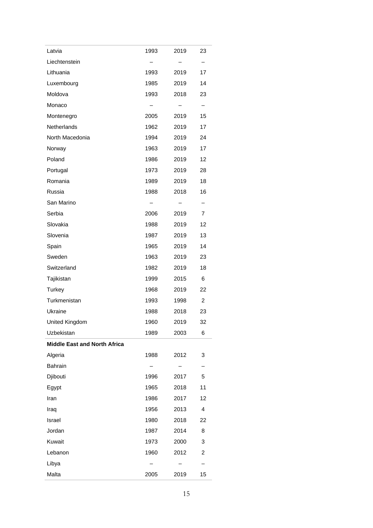| Latvia                              | 1993              | 2019                     | 23                |
|-------------------------------------|-------------------|--------------------------|-------------------|
| Liechtenstein                       | $\qquad \qquad -$ |                          | -                 |
| Lithuania                           | 1993              | 2019                     | 17                |
| Luxembourg                          | 1985              | 2019                     | 14                |
| Moldova                             | 1993              | 2018                     | 23                |
| Monaco                              | $-$               | $\overline{\phantom{0}}$ | $\qquad \qquad -$ |
| Montenegro                          | 2005              | 2019                     | 15                |
| Netherlands                         | 1962              | 2019                     | 17                |
| North Macedonia                     | 1994              | 2019                     | 24                |
| Norway                              | 1963              | 2019                     | 17                |
| Poland                              | 1986 —            | 2019                     | 12                |
| Portugal                            | 1973              | 2019                     | 28                |
| Romania                             | 1989              | 2019                     | 18                |
| Russia                              | 1988              | 2018                     | 16                |
| San Marino                          | $-$               | $\overline{\phantom{0}}$ | -                 |
| Serbia                              | 2006              | 2019                     | 7                 |
| Slovakia                            | 1988              | 2019                     | 12                |
| Slovenia                            | 1987              | 2019                     | 13                |
| Spain                               | 1965              | 2019                     | 14                |
| Sweden                              | 1963              | 2019                     | 23                |
| Switzerland                         | 1982              | 2019                     | 18                |
| Tajikistan                          | 1999              | 2015                     | 6                 |
| Turkey                              | 1968              | 2019                     | 22                |
| Turkmenistan                        | 1993              | 1998                     | $\overline{2}$    |
| Ukraine                             | 1988 —            | 2018                     | 23                |
| United Kingdom                      | 1960              | 2019                     | 32                |
| Uzbekistan                          | 1989              | 2003                     | 6                 |
| <b>Middle East and North Africa</b> |                   |                          |                   |
| Algeria                             | 1988              | 2012                     | 3                 |
| Bahrain                             |                   |                          |                   |
| Djibouti                            | 1996              | 2017                     | 5                 |
| Egypt                               | 1965              | 2018                     | 11                |
| Iran                                | 1986              | 2017                     | 12                |
| Iraq                                | 1956              | 2013                     | 4                 |
| Israel                              | 1980              | 2018                     | 22                |
| Jordan                              | 1987              | 2014                     | 8                 |
| Kuwait                              | 1973              | 2000                     | 3                 |
| Lebanon                             | 1960              | 2012                     | 2                 |
| Libya                               |                   |                          |                   |
| Malta                               | 2005              | 2019                     | 15                |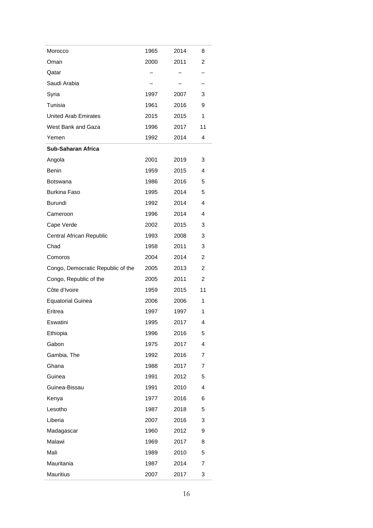| Morocco                           | 1965 | 2014 | 8              |
|-----------------------------------|------|------|----------------|
| Oman                              | 2000 | 2011 | 2              |
| Qatar                             |      |      |                |
| Saudi Arabia                      |      |      |                |
| Syria                             | 1997 | 2007 | 3              |
| Tunisia                           | 1961 | 2016 | 9              |
| <b>United Arab Emirates</b>       | 2015 | 2015 | 1              |
| West Bank and Gaza                | 1996 | 2017 | 11             |
| Yemen                             | 1992 | 2014 | 4              |
| <b>Sub-Saharan Africa</b>         |      |      |                |
| Angola                            | 2001 | 2019 | 3              |
| Benin                             | 1959 | 2015 | 4              |
| <b>Botswana</b>                   | 1986 | 2016 | 5              |
| <b>Burkina Faso</b>               | 1995 | 2014 | 5              |
| Burundi                           | 1992 | 2014 | 4              |
| Cameroon                          | 1996 | 2014 | 4              |
| Cape Verde                        | 2002 | 2015 | 3              |
| Central African Republic          | 1993 | 2008 | 3              |
| Chad                              | 1958 | 2011 | 3              |
| Comoros                           | 2004 | 2014 | 2              |
| Congo, Democratic Republic of the | 2005 | 2013 | 2              |
| Congo, Republic of the            | 2005 | 2011 | 2              |
| Côte d'Ivoire                     | 1959 | 2015 | 11             |
| <b>Equatorial Guinea</b>          | 2006 | 2006 | 1              |
| Eritrea                           | 1997 | 1997 | 1              |
| Eswatini                          | 1995 | 2017 | 4              |
| Ethiopia                          | 1996 | 2016 | 5              |
| Gabon                             | 1975 | 2017 | 4              |
| Gambia, The                       | 1992 | 2016 | 7              |
| Ghana                             | 1988 | 2017 | 7              |
| Guinea                            | 1991 | 2012 | 5              |
| Guinea-Bissau                     | 1991 | 2010 | 4              |
| Kenya                             | 1977 | 2016 | 6              |
| Lesotho                           | 1987 | 2018 | 5              |
| Liberia                           | 2007 | 2016 | 3              |
| Madagascar                        | 1960 | 2012 | 9              |
| Malawi                            | 1969 | 2017 | 8              |
| Mali                              | 1989 | 2010 | 5              |
| Mauritania                        | 1987 | 2014 | $\overline{7}$ |
| <b>Mauritius</b>                  | 2007 | 2017 | 3              |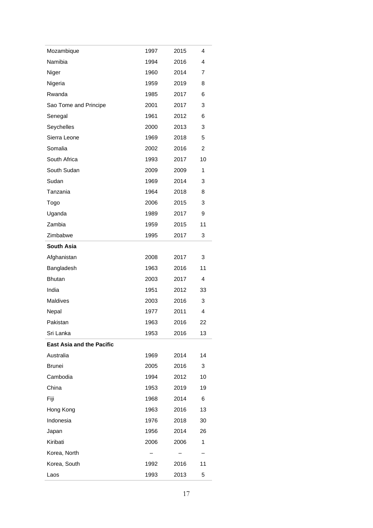| Mozambique                       | 1997 | 2015 | 4  |
|----------------------------------|------|------|----|
| Namibia                          | 1994 | 2016 | 4  |
| Niger                            | 1960 | 2014 | 7  |
| Nigeria                          | 1959 | 2019 | 8  |
| Rwanda                           | 1985 | 2017 | 6  |
| Sao Tome and Principe            | 2001 | 2017 | 3  |
| Senegal                          | 1961 | 2012 | 6  |
| Seychelles                       | 2000 | 2013 | 3  |
| Sierra Leone                     | 1969 | 2018 | 5  |
| Somalia                          | 2002 | 2016 | 2  |
| South Africa                     | 1993 | 2017 | 10 |
| South Sudan                      | 2009 | 2009 | 1  |
| Sudan                            | 1969 | 2014 | 3  |
| Tanzania                         | 1964 | 2018 | 8  |
| Togo                             | 2006 | 2015 | 3  |
| Uganda                           | 1989 | 2017 | 9  |
| Zambia                           | 1959 | 2015 | 11 |
| Zimbabwe                         | 1995 | 2017 | 3  |
| South Asia                       |      |      |    |
| Afghanistan                      | 2008 | 2017 | 3  |
| Bangladesh                       | 1963 | 2016 | 11 |
| <b>Bhutan</b>                    | 2003 | 2017 | 4  |
| India                            | 1951 | 2012 | 33 |
| Maldives                         | 2003 | 2016 | 3  |
| Nepal                            | 1977 | 2011 | 4  |
| Pakistan                         | 1963 | 2016 | 22 |
| Sri Lanka                        | 1953 | 2016 | 13 |
| <b>East Asia and the Pacific</b> |      |      |    |
| Australia                        | 1969 | 2014 | 14 |
| <b>Brunei</b>                    | 2005 | 2016 | 3  |
| Cambodia                         | 1994 | 2012 | 10 |
| China                            | 1953 | 2019 | 19 |
| Fiji                             | 1968 | 2014 | 6  |
| Hong Kong                        | 1963 | 2016 | 13 |
| Indonesia                        | 1976 | 2018 | 30 |
| Japan                            | 1956 | 2014 | 26 |
| Kiribati                         | 2006 | 2006 | 1  |
| Korea, North                     |      |      |    |
| Korea, South                     | 1992 | 2016 | 11 |
| Laos                             | 1993 | 2013 | 5  |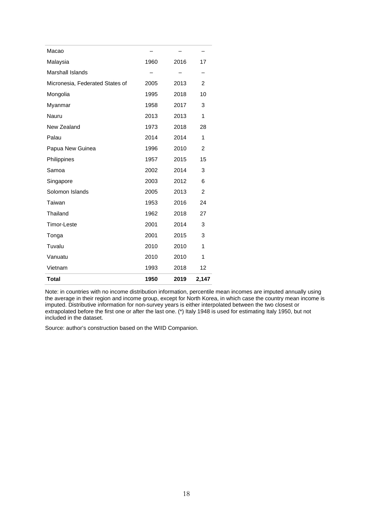| Macao                           |      |      |                |
|---------------------------------|------|------|----------------|
| Malaysia                        | 1960 | 2016 | 17             |
| <b>Marshall Islands</b>         |      |      |                |
| Micronesia, Federated States of | 2005 | 2013 | 2              |
| Mongolia                        | 1995 | 2018 | 10             |
| Myanmar                         | 1958 | 2017 | 3              |
| Nauru                           | 2013 | 2013 | 1              |
| New Zealand                     | 1973 | 2018 | 28             |
| Palau                           | 2014 | 2014 | 1              |
| Papua New Guinea                | 1996 | 2010 | $\overline{2}$ |
| Philippines                     | 1957 | 2015 | 15             |
| Samoa                           | 2002 | 2014 | 3              |
| Singapore                       | 2003 | 2012 | 6              |
| Solomon Islands                 | 2005 | 2013 | $\overline{2}$ |
| Taiwan                          | 1953 | 2016 | 24             |
| Thailand                        | 1962 | 2018 | 27             |
| <b>Timor-Leste</b>              | 2001 | 2014 | 3              |
| Tonga                           | 2001 | 2015 | 3              |
| Tuvalu                          | 2010 | 2010 | 1              |
| Vanuatu                         | 2010 | 2010 | 1              |
| Vietnam                         | 1993 | 2018 | 12             |
| <b>Total</b>                    | 1950 | 2019 | 2,147          |

Note: in countries with no income distribution information, percentile mean incomes are imputed annually using the average in their region and income group, except for North Korea, in which case the country mean income is imputed. Distributive information for non-survey years is either interpolated between the two closest or extrapolated before the first one or after the last one. (\*) Italy 1948 is used for estimating Italy 1950, but not included in the dataset.

Source: author's construction based on the WIID Companion.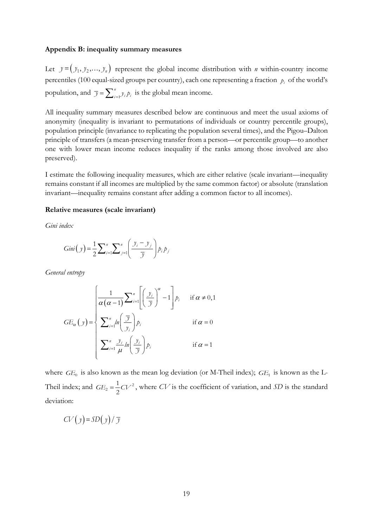#### **Appendix B: inequality summary measures**

Let  $y = (y_1, y_2, \dots, y_n)$  represent the global income distribution with *n* within-country income percentiles (100 equal-sized groups per country), each one representing a fraction  $p_i$  of the world's population, and  $\overline{y} = \sum_{i=1}^{n} y_i p_i$  is the global mean income.

All inequality summary measures described below are continuous and meet the usual axioms of anonymity (inequality is invariant to permutations of individuals or country percentile groups), population principle (invariance to replicating the population several times), and the Pigou–Dalton principle of transfers (a mean-preserving transfer from a person—or percentile group—to another one with lower mean income reduces inequality if the ranks among those involved are also preserved).

I estimate the following inequality measures, which are either relative (scale invariant—inequality remains constant if all incomes are multiplied by the same common factor) or absolute (translation invariant—inequality remains constant after adding a common factor to all incomes).

#### **Relative measures (scale invariant)**

*Gini index*

$$
Gini(y) = \frac{1}{2} \sum_{i=1}^{n} \sum_{j=1}^{n} \left( \frac{y_i - y_j}{\overline{y}} \right) p_i p_j
$$

*General entropy*

$$
GE_{\alpha}(y) = \begin{cases} \frac{1}{\alpha(\alpha-1)} \sum_{i=1}^{n} \left[ \left( \frac{y_i}{\overline{y}} \right)^{\alpha} - 1 \right] p_i & \text{if } \alpha \neq 0, 1\\ \sum_{i=1}^{n} ln \left( \frac{\overline{y}}{y_i} \right) p_i & \text{if } \alpha = 0\\ \sum_{i=1}^{n} \frac{y_i}{\mu} ln \left( \frac{y_i}{\overline{y}} \right) p_i & \text{if } \alpha = 1 \end{cases}
$$

where  $GE_0$  is also known as the mean log deviation (or M-Theil index);  $GE_1$  is known as the L-Theil index; and  $GE_2 = \frac{1}{2}CV^2$ 1 2  $GE_2 = \frac{1}{2}CV^2$ , where *CV* is the coefficient of variation, and *SD* is the standard deviation:

$$
CV(y) = SD(y) / \overline{y}
$$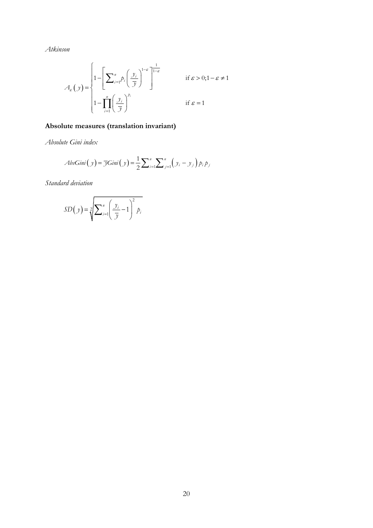*Atkinson*

$$
A_{\varepsilon}(y) = \begin{cases} 1 - \left[ \sum_{i=1}^{n} p_i \left( \frac{y_i}{y} \right)^{1-\varepsilon} \right]^{1-\varepsilon} & \text{if } \varepsilon > 0; 1-\varepsilon \neq 1 \\ 1 - \prod_{i=1}^{n} \left( \frac{y_i}{y} \right)^{p_i} & \text{if } \varepsilon = 1 \end{cases}
$$

# **Absolute measures (translation invariant)**

*Absolute Gini index*

$$
AbsGini(y) = \overline{\mathcal{J}}Gini(y) = \frac{1}{2}\sum_{i=1}^{n}\sum_{j=1}^{n} (y_i - y_j) p_i p_j
$$

*Standard deviation*

$$
SD(y) = \sqrt[2]{\sum_{i=1}^{n} \left(\frac{y_i}{\overline{y}} - 1\right)^2 p_i}
$$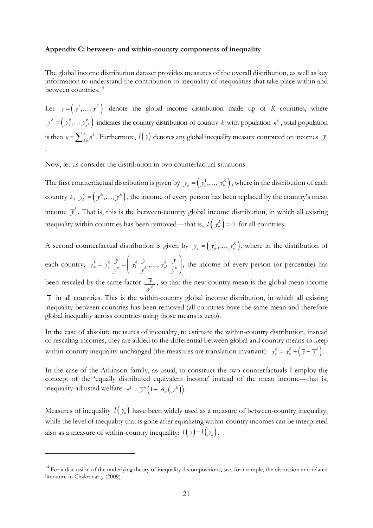#### **Appendix C: between- and within-country components of inequality**

The global income distribution dataset provides measures of the overall distribution, as well as key information to understand the contribution to inequality of inequalities that take place within and between countries.<sup>[14](#page-22-0)</sup>

Let  $y = (y^1, ..., y^K)$  denote the global income distribution made up of *K* countries, where  $y^k = (y_1^k, \dots, y_{n^k}^k)$  indicates the country distribution of country *k* with population  $n^k$ , total population is then  $n = \sum_{k=1}^{K} n^k$ . Furthermore,  $I(y)$  denotes any global inequality measure computed on incomes *y* .

Now, let us consider the distribution in two counterfactual situations.

The first counterfactual distribution is given by  $y_b = (y_b^1, \ldots, y_b^K)$ , where in the distribution of each country  $k$ ,  $y_k^k = (\overline{y}^k, ..., \overline{y}^k)$ , the income of every person has been replaced by the country's mean income  $\bar{y}^k$ . That is, this is the between-country global income distribution, in which all existing inequality within countries has been removed—that is,  $I(y_b^k) = 0$  for all countries.

A second counterfactual distribution is given by  $y_w = ( y_w^1, ..., y_w^K)$ , where in the distribution of each country,  $y_w^k = y_w^k \frac{\overline{y}}{\overline{x}} = \left( y_1^k \frac{\overline{y}}{\overline{x}} \dots, y_{n^k}^k \frac{\overline{y}}{\overline{x}} \right)$  $y^k_w \frac{\overline{y}}{\overline{y}^k} = \left( y^k_1 \frac{\overline{y}}{\overline{y}^k}, \ldots, y^k_{n^k} \frac{\overline{y}}{\overline{y}^k} \right)$ , the income of every person (or percentile) has been rescaled by the same factor  $\frac{\overline{y}}{\overline{x}^k}$ *y* , so that the new country mean is the global mean income  $\bar{y}$  in all countries. This is the within-country global income distribution, in which all existing inequality between countries has been removed (all countries have the same mean and therefore global inequality across countries using those means is zero).

In the case of absolute measures of inequality, to estimate the within-country distribution, instead of rescaling incomes, they are added to the differential between global and country means to keep within-country inequality unchanged (the measures are translation invariant):  $y_w^k = y_w^k + (\overline{y} - \overline{y}^k)$ .

In the case of the Atkinson family, as usual, to construct the two counterfactuals I employ the concept of the 'equally distributed equivalent income' instead of the mean income—that is, inequality-adjusted welfare:  $e^k = \overline{\mathcal{Y}}^k \left(1 - \mathcal{A}_{\varepsilon} \left(\mathcal{Y}^k\right)\right)$ .

Measures of inequality  $I(y_h)$  have been widely used as a measure of between-country inequality, while the level of inequality that is gone after equalizing within-country incomes can be interpreted also as a measure of within-country inequality:  $I(y) - I(y_b)$ .

<span id="page-22-0"></span><sup>&</sup>lt;sup>14</sup> For a discussion of the underlying theory of inequality decompositions, see, for example, the discussion and related literature in Chakravarty (2009).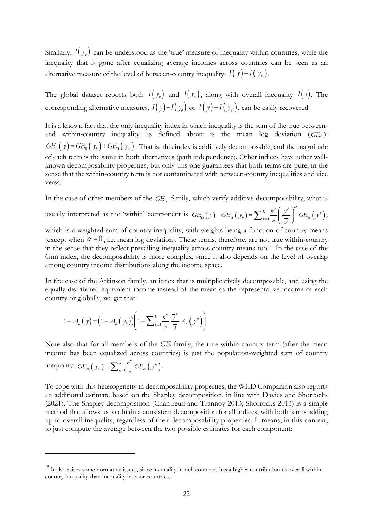Similarly,  $I(y_{w})$  can be understood as the 'true' measure of inequality within countries, while the inequality that is gone after equalizing average incomes across countries can be seen as an alternative measure of the level of between-country inequality:  $I(y) - I(y_w)$ .

The global dataset reports both  $I(y_b)$  and  $I(y_w)$ , along with overall inequality  $I(y)$ . The corresponding alternative measures,  $I(y) - I(y_b)$  or  $I(y) - I(y_w)$ , can be easily recovered.

It is a known fact that the only inequality index in which inequality is the sum of the true betweenand within-country inequality as defined above is the mean log deviation  $(GE_0)$ :  $GE_0(y) = GE_0(y_b) + GE_0(y_w)$ . That is, this index is additively decomposable, and the magnitude of each term is the same in both alternatives (path independence). Other indices have other wellknown decomposability properties, but only this one guarantees that both terms are pure, in the sense that the within-country term is not contaminated with between-country inequalities and vice versa.

In the case of other members of the  $GE_\alpha$  family, which verify additive decomposability, what is

usually interpreted as the 'within' component is  $GE_\alpha(y) - GE_\alpha(y_\nu) = \sum_{k=1}^K \frac{n^k}{n} \left( \frac{\overline{y}^k}{\overline{y}} \right)^k GE_\alpha(y^k)$  $GE_{\alpha}(y) - GE_{\alpha}(y_{\beta}) = \sum_{k=1}^{K} \frac{n^{k}}{n} \left( \frac{\overline{y}^{k}}{\overline{y}} \right)^{\alpha} GE_{\alpha}(y)$  $F_{\alpha}(y) - GE_{\alpha}(y_{b}) = \sum_{k=1}^{K} \frac{n^{k}}{n} \left(\frac{\overline{y}^{k}}{\overline{y}}\right)^{\alpha} GE_{\alpha}(y^{k}),$ 

which is a weighted sum of country inequality, with weights being a function of country means (except when  $\alpha = 0$ , i.e. mean log deviation). These terms, therefore, are not true within-country in the sense that they reflect prevailing inequality across country means too. [15](#page-23-0) In the case of the Gini index, the decomposability is more complex, since it also depends on the level of overlap among country income distributions along the income space.

In the case of the Atkinson family, an index that is multiplicatively decomposable, and using the equally distributed equivalent income instead of the mean as the representative income of each country or globally, we get that:

$$
1 - A_{\varepsilon}\left(y\right) = \left(1 - A_{\varepsilon}\left(y_{b}\right)\right)\left(1 - \sum_{k=1}^{K} \frac{n^{k}}{n} \frac{\overline{y}^{k}}{\overline{y}} A_{\varepsilon}\left(y^{k}\right)\right)
$$

Note also that for all members of the *GE* family, the true within-country term (after the mean income has been equalized across countries) is just the population-weighted sum of country inequality:  $GE_{\alpha}(y_{w}) = \sum_{k=1}^{K} \frac{n^{k}}{n} GE_{\alpha}(y^{k})$  $GE_{\alpha}(y_{w}) = \sum_{k=1}^{K} \frac{n^{k}}{n} GE_{\alpha}(y^{k}).$ 

To cope with this heterogeneity in decomposability properties, the WIID Companion also reports an additional estimate based on the Shapley decomposition, in line with Davies and Shorrocks (2021). The Shapley decomposition (Chantreuil and Trannoy 2013; Shorrocks 2013) is a simple method that allows us to obtain a consistent decomposition for all indices, with both terms adding up to overall inequality, regardless of their decomposability properties. It means, in this context, to just compute the average between the two possible estimates for each component:

<span id="page-23-0"></span><sup>&</sup>lt;sup>15</sup> It also raises some normative issues, since inequality in rich countries has a higher contribution to overall withincountry inequality than inequality in poor countries.